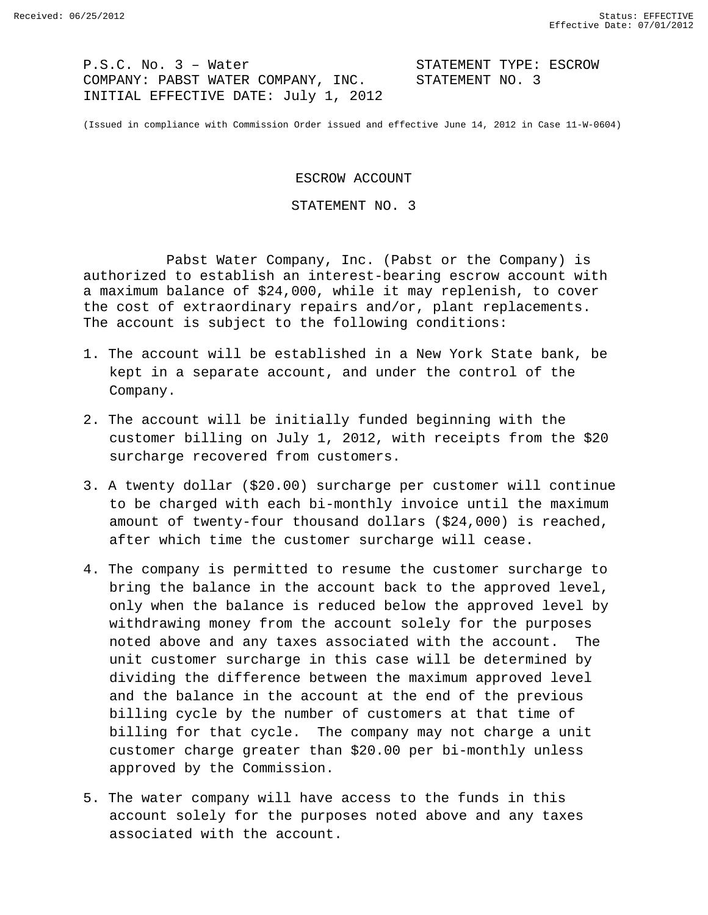P.S.C. No. 3 - Water<br>COMPANY: PABST WATER COMPANY, INC. STATEMENT NO. 3 COMPANY: PABST WATER COMPANY, INC. INITIAL EFFECTIVE DATE: July 1, 2012

(Issued in compliance with Commission Order issued and effective June 14, 2012 in Case 11-W-0604)

ESCROW ACCOUNT

STATEMENT NO. 3

Pabst Water Company, Inc. (Pabst or the Company) is authorized to establish an interest-bearing escrow account with a maximum balance of \$24,000, while it may replenish, to cover the cost of extraordinary repairs and/or, plant replacements. The account is subject to the following conditions:

- 1. The account will be established in a New York State bank, be kept in a separate account, and under the control of the Company.
- 2. The account will be initially funded beginning with the customer billing on July 1, 2012, with receipts from the \$20 surcharge recovered from customers.
- 3. A twenty dollar (\$20.00) surcharge per customer will continue to be charged with each bi-monthly invoice until the maximum amount of twenty-four thousand dollars (\$24,000) is reached, after which time the customer surcharge will cease.
- 4. The company is permitted to resume the customer surcharge to bring the balance in the account back to the approved level, only when the balance is reduced below the approved level by withdrawing money from the account solely for the purposes noted above and any taxes associated with the account. The unit customer surcharge in this case will be determined by dividing the difference between the maximum approved level and the balance in the account at the end of the previous billing cycle by the number of customers at that time of billing for that cycle. The company may not charge a unit customer charge greater than \$20.00 per bi-monthly unless approved by the Commission.
- 5. The water company will have access to the funds in this account solely for the purposes noted above and any taxes associated with the account.